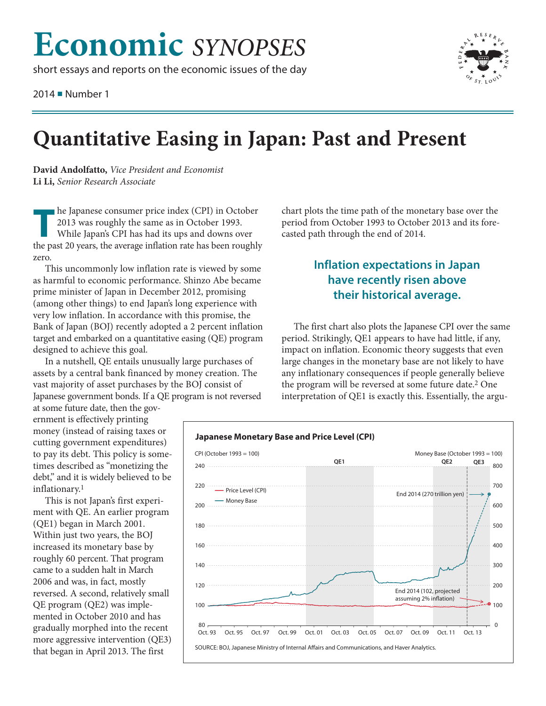# **Economic** SYNOPSES

short essays and reports on the economic issues of the day

2014 Number 1



## **Quantitative Easing in Japan: Past and Present**

David Andolfatto, Vice President and Economist Li Li, Senior Research Associate

he Japanese consumer price index (CPI) in October 2013 was roughly the same as in October 1993. While Japan's CPI has had its ups and downs over the past 20 years, the average inflation rate has been roughly zero

This uncommonly low inflation rate is viewed by some as harmful to economic performance. Shinzo Abe became prime minister of Japan in December 2012, promising (among other things) to end Japan's long experience with very low inflation. In accordance with this promise, the Bank of Japan (BOJ) recently adopted a 2 percent inflation target and embarked on a quantitative easing (QE) program designed to achieve this goal.

In a nutshell, QE entails unusually large purchases of assets by a central bank financed by money creation. The vast majority of asset purchases by the BOJ consist of Japanese government bonds. If a QE program is not reversed

at some future date, then the government is effectively printing money (instead of raising taxes or cutting government expenditures) to pay its debt. This policy is sometimes described as "monetizing the debt," and it is widely believed to be inflationary.<sup>1</sup>

This is not Japan's first experiment with QE. An earlier program (QE1) began in March 2001. Within just two years, the BOJ increased its monetary base by roughly 60 percent. That program came to a sudden halt in March 2006 and was, in fact, mostly reversed. A second, relatively small QE program (QE2) was implemented in October 2010 and has gradually morphed into the recent more aggressive intervention (QE3) that began in April 2013. The first

chart plots the time path of the monetary base over the period from October 1993 to October 2013 and its forecasted path through the end of 2014.

#### **Inflation expectations in Japan** have recently risen above their historical average.

The first chart also plots the Japanese CPI over the same period. Strikingly, QE1 appears to have had little, if any, impact on inflation. Economic theory suggests that even large changes in the monetary base are not likely to have any inflationary consequences if people generally believe the program will be reversed at some future date.<sup>2</sup> One interpretation of QE1 is exactly this. Essentially, the argu-